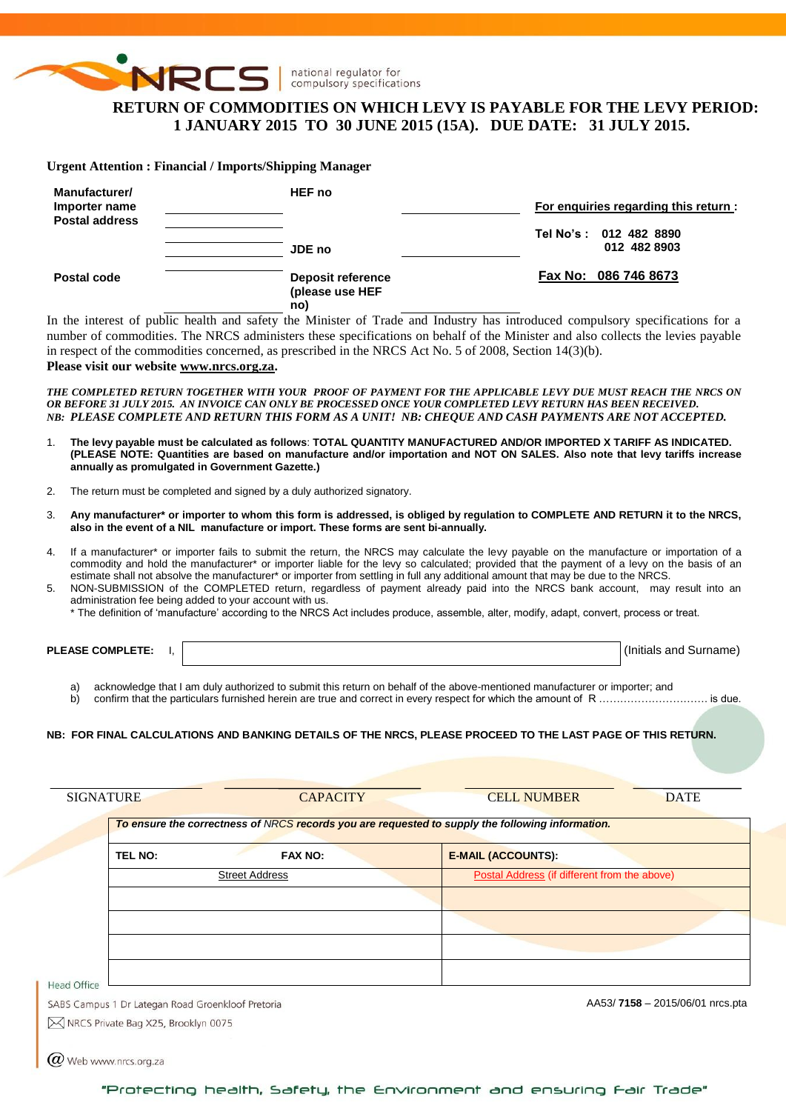

# **RETURN OF COMMODITIES ON WHICH LEVY IS PAYABLE FOR THE LEVY PERIOD: 1 JANUARY 2015 TO 30 JUNE 2015 (15A). DUE DATE: 31 JULY 2015.**

**Urgent Attention : Financial / Imports/Shipping Manager**

| Manufacturer/<br>Importer name<br><b>Postal address</b> | <b>HEF</b> no                                      | For enquiries regarding this return:   |
|---------------------------------------------------------|----------------------------------------------------|----------------------------------------|
|                                                         | JDE no                                             | Tel No's: 012 482 8890<br>012 482 8903 |
| Postal code                                             | <b>Deposit reference</b><br>(please use HEF<br>no) | Fax No: 086 746 8673                   |

In the interest of public health and safety the Minister of Trade and Industry has introduced compulsory specifications for a number of commodities. The NRCS administers these specifications on behalf of the Minister and also collects the levies payable in respect of the commodities concerned, as prescribed in the NRCS Act No. 5 of 2008, Section 14(3)(b).

**Please visit our website [www.nrcs.org.za.](http://www.nrcs.org.za/)**

*THE COMPLETED RETURN TOGETHER WITH YOUR PROOF OF PAYMENT FOR THE APPLICABLE LEVY DUE MUST REACH THE NRCS ON OR BEFORE 31 JULY 2015. AN INVOICE CAN ONLY BE PROCESSED ONCE YOUR COMPLETED LEVY RETURN HAS BEEN RECEIVED. NB: PLEASE COMPLETE AND RETURN THIS FORM AS A UNIT! NB: CHEQUE AND CASH PAYMENTS ARE NOT ACCEPTED.*

- 1. **The levy payable must be calculated as follows**: **TOTAL QUANTITY MANUFACTURED AND/OR IMPORTED X TARIFF AS INDICATED. (PLEASE NOTE: Quantities are based on manufacture and/or importation and NOT ON SALES. Also note that levy tariffs increase annually as promulgated in Government Gazette.)**
- 2. The return must be completed and signed by a duly authorized signatory.
- 3. **Any manufacturer\* or importer to whom this form is addressed, is obliged by regulation to COMPLETE AND RETURN it to the NRCS, also in the event of a NIL manufacture or import. These forms are sent bi-annually.**
- 4. If a manufacturer\* or importer fails to submit the return, the NRCS may calculate the levy payable on the manufacture or importation of a commodity and hold the manufacturer\* or importer liable for the levy so calculated; provided that the payment of a levy on the basis of an estimate shall not absolve the manufacturer\* or importer from settling in full any additional amount that may be due to the NRCS.
- 5. NON-SUBMISSION of the COMPLETED return, regardless of payment already paid into the NRCS bank account, may result into an administration fee being added to your account with us.

\* The definition of 'manufacture' according to the NRCS Act includes produce, assemble, alter, modify, adapt, convert, process or treat.

**PLEASE COMPLETE:** I,  $\vert$ 

a) acknowledge that I am duly authorized to submit this return on behalf of the above-mentioned manufacturer or importer; and

b) confirm that the particulars furnished herein are true and correct in every respect for which the amount of R …………………………………… is due.

#### **NB: FOR FINAL CALCULATIONS AND BANKING DETAILS OF THE NRCS, PLEASE PROCEED TO THE LAST PAGE OF THIS RETURN.**

|                                                   |                       | To ensure the correctness of NRCS records you are requested to supply the following information. |
|---------------------------------------------------|-----------------------|--------------------------------------------------------------------------------------------------|
| <b>TEL NO:</b>                                    | <b>FAX NO:</b>        | <b>E-MAIL (ACCOUNTS):</b>                                                                        |
|                                                   | <b>Street Address</b> | Postal Address (if different from the above)                                                     |
|                                                   |                       |                                                                                                  |
|                                                   |                       |                                                                                                  |
|                                                   |                       |                                                                                                  |
| Head Office                                       |                       |                                                                                                  |
| SABS Campus 1 Dr Lategan Road Groenkloof Pretoria |                       | AA53/7158 - 2015/06/01 nrcs.pta                                                                  |

 $\varpi$  Web www.nrcs.org.za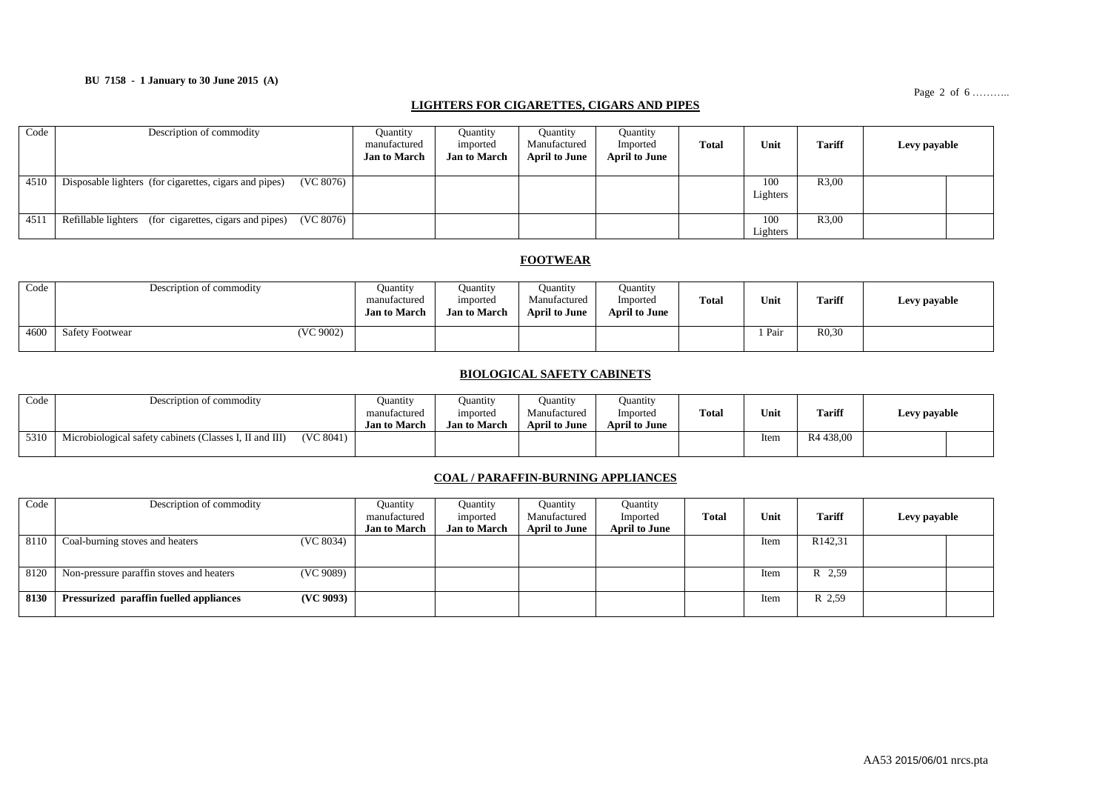### **BU 7158 - 1 January to 30 June 2015 (A)**

Page 2 of 6 ..........

#### **LIGHTERS FOR CIGARETTES, CIGARS AND PIPES**

| Code | Description of commodity                                            | <b>Quantity</b><br>manufactured<br><b>Jan to March</b> | Ouantity<br>imported<br><b>Jan to March</b> | <b>Quantity</b><br>Manufactured<br><b>April to June</b> | Quantity<br>Imported<br><b>April to June</b> | <b>Total</b> | Unit            | <b>Tariff</b> | Levy payable |  |
|------|---------------------------------------------------------------------|--------------------------------------------------------|---------------------------------------------|---------------------------------------------------------|----------------------------------------------|--------------|-----------------|---------------|--------------|--|
| 4510 | (VC 8076)<br>Disposable lighters (for cigarettes, cigars and pipes) |                                                        |                                             |                                                         |                                              |              | 100<br>Lighters | R3,00         |              |  |
| 4511 | (VC 8076)<br>Refillable lighters (for cigarettes, cigars and pipes) |                                                        |                                             |                                                         |                                              |              | 100<br>Lighters | R3,00         |              |  |

#### **FOOTWEAR**

| Code | Description of commodity            | Ouantity<br>manufactured<br><b>Jan to March</b> | Ouantity<br>imported<br><b>Jan to March</b> | Ouantity<br>Manufactured<br><b>April to June</b> | <b>Quantity</b><br>Imported<br>April to June | Total | Unit | <b>Tariff</b>     | Levy payable |
|------|-------------------------------------|-------------------------------------------------|---------------------------------------------|--------------------------------------------------|----------------------------------------------|-------|------|-------------------|--------------|
| 4600 | (VC 9002)<br><b>Safety Footwear</b> |                                                 |                                             |                                                  |                                              |       | Pair | R <sub>0.30</sub> |              |

### **BIOLOGICAL SAFETY CABINETS**

| Code | Description of commodity                                |           | Ouantity<br>manufactured<br><b>Jan to March</b> | Ouantity<br>imported<br><b>Jan to March</b> | Ouantity<br>Manufactured<br><b>April to June</b> | Juantity<br>'mported<br><b>April to June</b> | <b>Total</b> | Unit | <b>Tariff</b>         | Levy payable |  |
|------|---------------------------------------------------------|-----------|-------------------------------------------------|---------------------------------------------|--------------------------------------------------|----------------------------------------------|--------------|------|-----------------------|--------------|--|
| 5310 | Microbiological safety cabinets (Classes I, II and III) | (VC 8041) |                                                 |                                             |                                                  |                                              |              | Item | R <sub>4</sub> 438,00 |              |  |

### **COAL / PARAFFIN-BURNING APPLIANCES**

| Code | Description of commodity                              | Quantity<br>manufactured<br><b>Jan to March</b> | Quantity<br>imported<br><b>Jan to March</b> | <b>Quantity</b><br>Manufactured<br><b>April to June</b> | Quantity<br>Imported<br><b>April to June</b> | Total | Unit | <b>Tariff</b>       | Levy payable |  |
|------|-------------------------------------------------------|-------------------------------------------------|---------------------------------------------|---------------------------------------------------------|----------------------------------------------|-------|------|---------------------|--------------|--|
|      |                                                       |                                                 |                                             |                                                         |                                              |       |      |                     |              |  |
| 8110 | (VC 8034)<br>Coal-burning stoves and heaters          |                                                 |                                             |                                                         |                                              |       | Item | R <sub>142,31</sub> |              |  |
|      |                                                       |                                                 |                                             |                                                         |                                              |       |      |                     |              |  |
|      |                                                       |                                                 |                                             |                                                         |                                              |       |      |                     |              |  |
| 8120 | (VC 9089)<br>Non-pressure paraffin stoves and heaters |                                                 |                                             |                                                         |                                              |       | Item | R 2.59              |              |  |
|      |                                                       |                                                 |                                             |                                                         |                                              |       |      |                     |              |  |
| 8130 | (VC 9093)<br>Pressurized paraffin fuelled appliances  |                                                 |                                             |                                                         |                                              |       | Item | R 2.59              |              |  |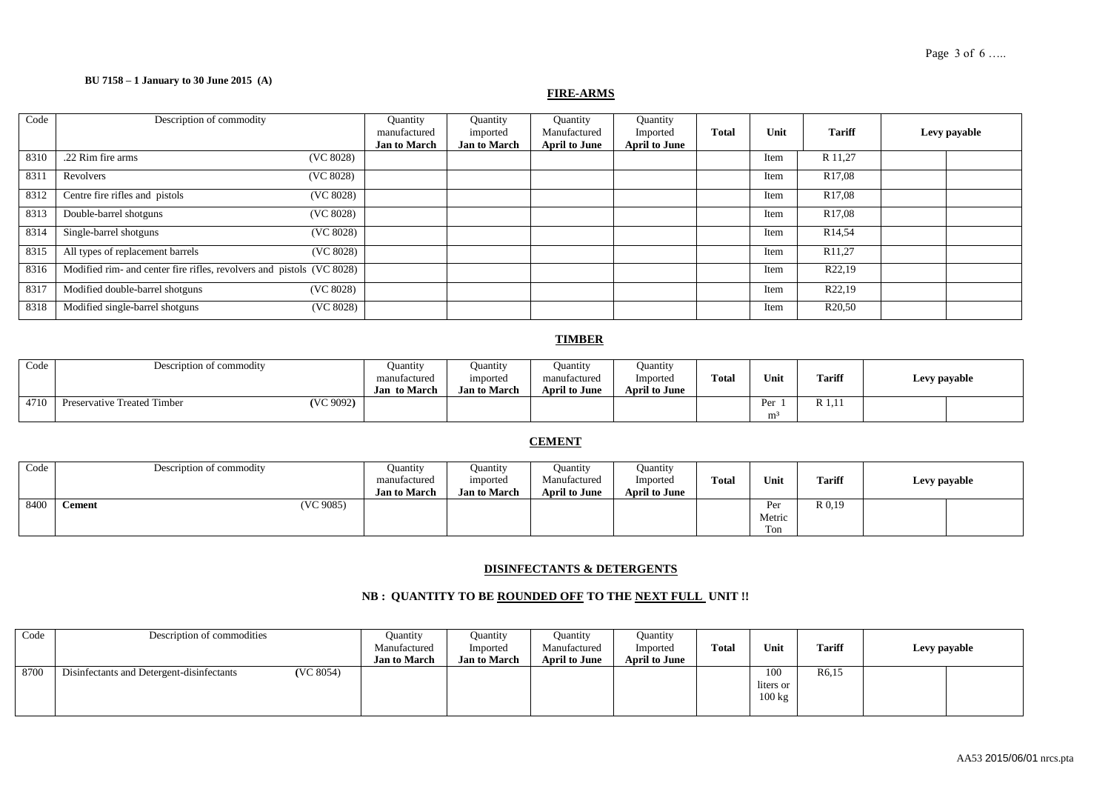#### Page 3 of 6 .....

### **BU 7158 – 1 January to 30 June 2015 (A)**

## **FIRE-ARMS**

| Code | Description of commodity                                              | Quantity<br>manufactured<br><b>Jan to March</b> | Quantity<br>imported<br><b>Jan to March</b> | Quantity<br>Manufactured<br><b>April to June</b> | Quantity<br>Imported<br><b>April to June</b> | <b>Total</b> | Unit | <b>Tariff</b>       | Levy payable |
|------|-----------------------------------------------------------------------|-------------------------------------------------|---------------------------------------------|--------------------------------------------------|----------------------------------------------|--------------|------|---------------------|--------------|
| 8310 | .22 Rim fire arms<br>(VC 8028)                                        |                                                 |                                             |                                                  |                                              |              | Item | R 11,27             |              |
| 8311 | (VC 8028)<br>Revolvers                                                |                                                 |                                             |                                                  |                                              |              | Item | R <sub>17,08</sub>  |              |
| 8312 | Centre fire rifles and pistols<br>(VC 8028)                           |                                                 |                                             |                                                  |                                              |              | Item | R <sub>17,08</sub>  |              |
| 8313 | Double-barrel shotguns<br>(VC 8028)                                   |                                                 |                                             |                                                  |                                              |              | Item | R <sub>17,08</sub>  |              |
| 8314 | (VC 8028)<br>Single-barrel shotguns                                   |                                                 |                                             |                                                  |                                              |              | Item | R <sub>14,54</sub>  |              |
| 8315 | All types of replacement barrels<br>(VC 8028)                         |                                                 |                                             |                                                  |                                              |              | Item | R <sub>11</sub> ,27 |              |
| 8316 | Modified rim- and center fire rifles, revolvers and pistols (VC 8028) |                                                 |                                             |                                                  |                                              |              | Item | R22,19              |              |
| 8317 | Modified double-barrel shotguns<br>(VC 8028)                          |                                                 |                                             |                                                  |                                              |              | Item | R22,19              |              |
| 8318 | Modified single-barrel shotguns<br>(VC 8028)                          |                                                 |                                             |                                                  |                                              |              | Item | R <sub>20</sub> ,50 |              |

## **TIMBER**

| Code | Description of commodity                 | <b>Quantity</b><br>manufactured<br>Jan to March | Ouantity<br>imported<br><b>Jan to March</b> | <b>Quantity</b><br>manufactured<br><b>April to June</b> | <b>Ouantity</b><br>Imported<br><b>April to June</b> | <b>Total</b> | Unit                                    | <b>Tariff</b>     | Levy payable |  |
|------|------------------------------------------|-------------------------------------------------|---------------------------------------------|---------------------------------------------------------|-----------------------------------------------------|--------------|-----------------------------------------|-------------------|--------------|--|
| 4710 | (VC 9092)<br>Preservative Treated Timber |                                                 |                                             |                                                         |                                                     |              | $\mathbf{D}_{\alpha}$<br>m <sup>3</sup> | D<br>$\mathbf{1}$ |              |  |

## **CEMENT**

| Code | Description of commodity   | Ouantity            | Ouantity            | <b>Ouantity</b>      | Quantity             |              |        |               |              |  |
|------|----------------------------|---------------------|---------------------|----------------------|----------------------|--------------|--------|---------------|--------------|--|
|      |                            | manufactured        | imported            | Manufactured         | Imported             | <b>Total</b> | Unit   | <b>Tariff</b> | Levy payable |  |
|      |                            | <b>Jan to March</b> | <b>Jan to March</b> | <b>April to June</b> | <b>April to June</b> |              |        |               |              |  |
| 8400 | (VC 9085)<br><b>Cement</b> |                     |                     |                      |                      |              | Per    | R 0,19        |              |  |
|      |                            |                     |                     |                      |                      |              | Metric |               |              |  |
|      |                            |                     |                     |                      |                      |              | Ton    |               |              |  |

### **DISINFECTANTS & DETERGENTS**

## **NB : QUANTITY TO BE ROUNDED OFF TO THE NEXT FULL UNIT !!**

| Code | Description of commodities                             | Ouantity<br>Manufactured<br><b>Jan to March</b> | Ouantity<br>Imported<br><b>Jan to March</b> | Ouantity<br>Manufactured<br><b>April to June</b> | <b>Quantity</b><br>Imported<br><b>April to June</b> | <b>Total</b> | Unit                                 | <b>Tariff</b>      | Levy payable |  |
|------|--------------------------------------------------------|-------------------------------------------------|---------------------------------------------|--------------------------------------------------|-----------------------------------------------------|--------------|--------------------------------------|--------------------|--------------|--|
| 8700 | (VC 8054)<br>Disinfectants and Detergent-disinfectants |                                                 |                                             |                                                  |                                                     |              | 100<br>liters or<br>$100 \text{ kg}$ | R <sub>6</sub> ,15 |              |  |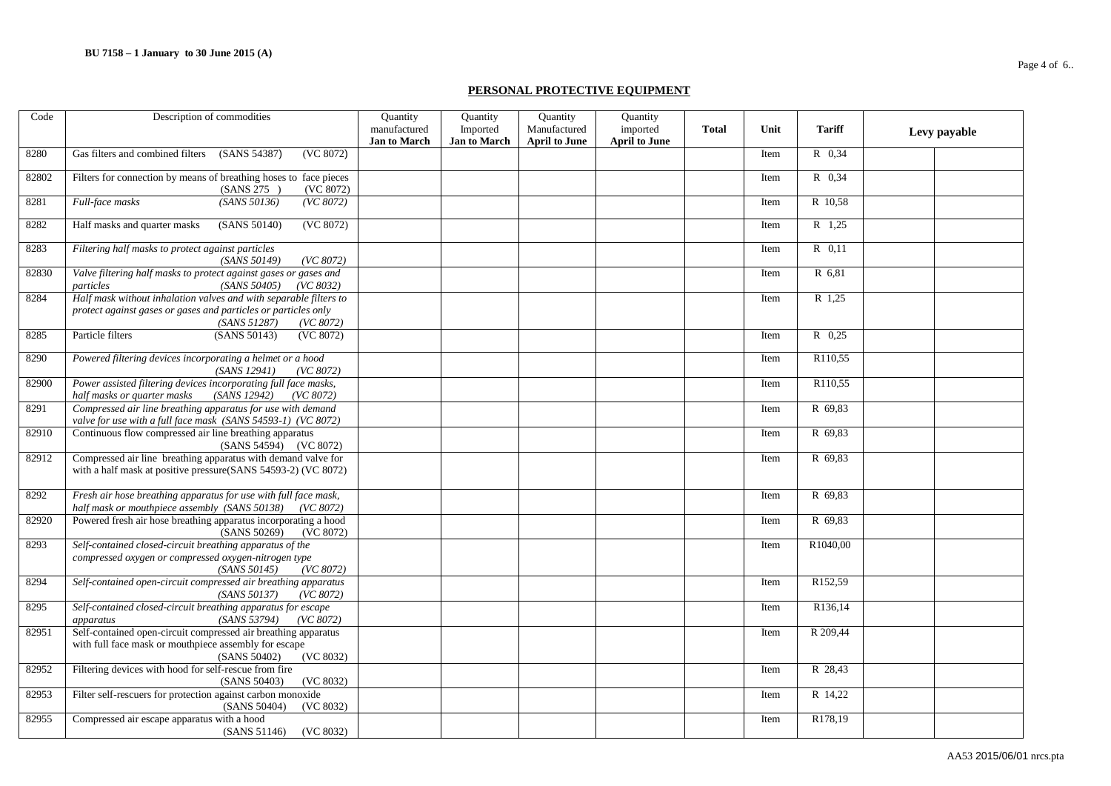#### **PERSONAL PROTECTIVE EQUIPMENT**

| Code  | Description of commodities                                                                                                                                       | Quantity                            | Quantity                        | Quantity                             | Quantity                         |              |      |          |              |
|-------|------------------------------------------------------------------------------------------------------------------------------------------------------------------|-------------------------------------|---------------------------------|--------------------------------------|----------------------------------|--------------|------|----------|--------------|
|       |                                                                                                                                                                  | manufactured<br><b>Jan to March</b> | Imported<br><b>Jan to March</b> | Manufactured<br><b>April to June</b> | imported<br><b>April to June</b> | <b>Total</b> | Unit | Tariff   | Levy payable |
| 8280  | (VC 8072)<br>Gas filters and combined filters<br>(SANS 54387)                                                                                                    |                                     |                                 |                                      |                                  |              | Item | R 0.34   |              |
| 82802 | Filters for connection by means of breathing hoses to face pieces<br>(SANS 275)<br>(VC 8072)                                                                     |                                     |                                 |                                      |                                  |              | Item | R 0,34   |              |
| 8281  | Full-face masks<br>(SANS 50136)<br>(VC 8072)                                                                                                                     |                                     |                                 |                                      |                                  |              | Item | R 10,58  |              |
| 8282  | Half masks and quarter masks<br>(VC 8072)<br>(SANS 50140)                                                                                                        |                                     |                                 |                                      |                                  |              | Item | R 1,25   |              |
| 8283  | Filtering half masks to protect against particles<br>(SANS 50149)<br>(VC 8072)                                                                                   |                                     |                                 |                                      |                                  |              | Item | R 0.11   |              |
| 82830 | Valve filtering half masks to protect against gases or gases and<br>(SANS 50405)<br>particles<br>(VC 8032)                                                       |                                     |                                 |                                      |                                  |              | Item | R 6,81   |              |
| 8284  | Half mask without inhalation valves and with separable filters to<br>protect against gases or gases and particles or particles only<br>(SANS 51287)<br>(VC 8072) |                                     |                                 |                                      |                                  |              | Item | R 1,25   |              |
| 8285  | (VC 8072)<br>(SANS 50143)<br>Particle filters                                                                                                                    |                                     |                                 |                                      |                                  |              | Item | R 0.25   |              |
| 8290  | Powered filtering devices incorporating a helmet or a hood<br>(SANS 12941)<br>(VC 8072)                                                                          |                                     |                                 |                                      |                                  |              | Item | R110,55  |              |
| 82900 | Power assisted filtering devices incorporating full face masks,<br>half masks or quarter masks<br>(SANS 12942)<br>(VC 8072)                                      |                                     |                                 |                                      |                                  |              | Item | R110,55  |              |
| 8291  | Compressed air line breathing apparatus for use with demand<br>valve for use with a full face mask (SANS 54593-1) (VC 8072)                                      |                                     |                                 |                                      |                                  |              | Item | R 69,83  |              |
| 82910 | Continuous flow compressed air line breathing apparatus<br>(SANS 54594) (VC 8072)                                                                                |                                     |                                 |                                      |                                  |              | Item | R 69,83  |              |
| 82912 | Compressed air line breathing apparatus with demand valve for<br>with a half mask at positive pressure(SANS 54593-2) (VC 8072)                                   |                                     |                                 |                                      |                                  |              | Item | R 69,83  |              |
| 8292  | Fresh air hose breathing apparatus for use with full face mask,<br>half mask or mouthpiece assembly (SANS 50138)<br>(VC 8072)                                    |                                     |                                 |                                      |                                  |              | Item | R 69,83  |              |
| 82920 | Powered fresh air hose breathing apparatus incorporating a hood<br>(SANS 50269)<br>(VC 8072)                                                                     |                                     |                                 |                                      |                                  |              | Item | R 69,83  |              |
| 8293  | Self-contained closed-circuit breathing apparatus of the<br>compressed oxygen or compressed oxygen-nitrogen type<br>(VC 8072)<br>(SANS 50145)                    |                                     |                                 |                                      |                                  |              | Item | R1040,00 |              |
| 8294  | Self-contained open-circuit compressed air breathing apparatus<br>(VC 8072)<br>(SANS 50137)                                                                      |                                     |                                 |                                      |                                  |              | Item | R152,59  |              |
| 8295  | Self-contained closed-circuit breathing apparatus for escape<br>(SANS 53794)<br>(VC 8072)<br>apparatus                                                           |                                     |                                 |                                      |                                  |              | Item | R136,14  |              |
| 82951 | Self-contained open-circuit compressed air breathing apparatus<br>with full face mask or mouthpiece assembly for escape<br>(SANS 50402)<br>(VC 8032)             |                                     |                                 |                                      |                                  |              | Item | R 209,44 |              |
| 82952 | Filtering devices with hood for self-rescue from fire<br>(SANS 50403)<br>(VC 8032)                                                                               |                                     |                                 |                                      |                                  |              | Item | R 28,43  |              |
| 82953 | Filter self-rescuers for protection against carbon monoxide<br>(SANS 50404)<br>(VC 8032)                                                                         |                                     |                                 |                                      |                                  |              | Item | R 14,22  |              |
| 82955 | Compressed air escape apparatus with a hood<br>(VC 8032)<br>(SANS 51146)                                                                                         |                                     |                                 |                                      |                                  |              | Item | R178,19  |              |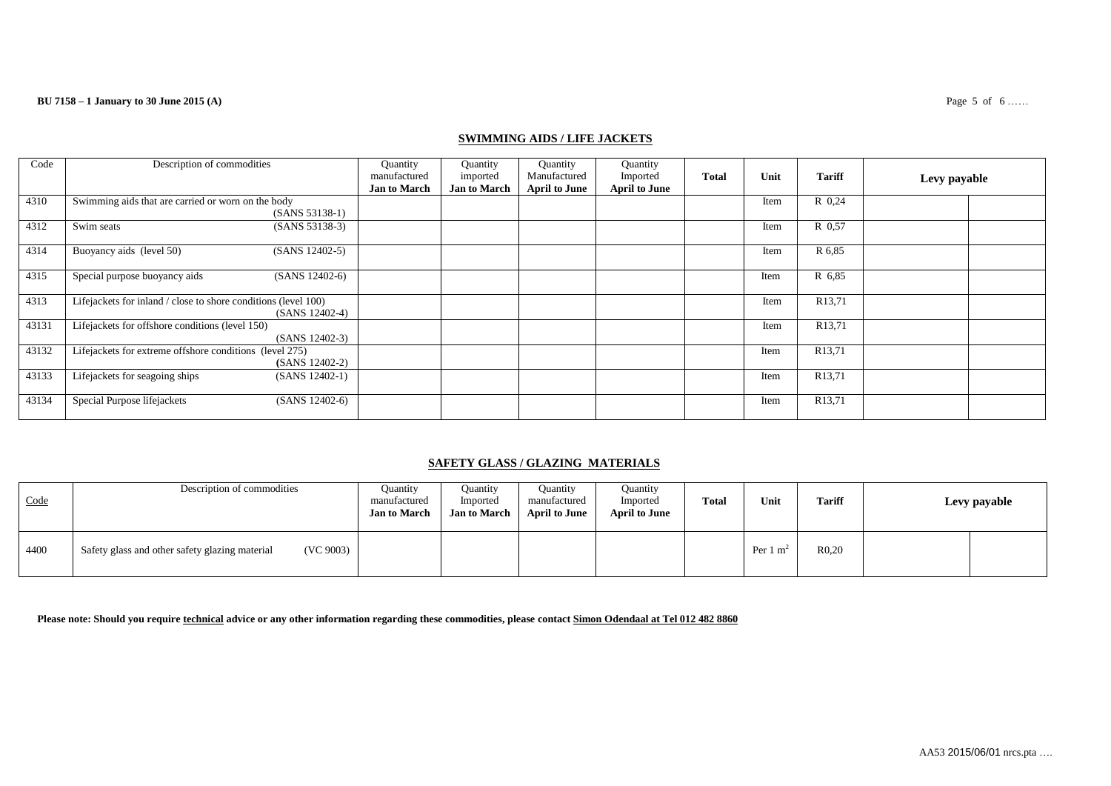## **SWIMMING AIDS / LIFE JACKETS**

| Code  | Description of commodities                                                         | Quantity<br>manufactured<br><b>Jan to March</b> | Quantity<br>imported<br><b>Jan to March</b> | Quantity<br>Manufactured<br><b>April to June</b> | Quantity<br>Imported<br><b>April to June</b> | <b>Total</b> | Unit | <b>Tariff</b>       | Levy payable |  |
|-------|------------------------------------------------------------------------------------|-------------------------------------------------|---------------------------------------------|--------------------------------------------------|----------------------------------------------|--------------|------|---------------------|--------------|--|
| 4310  | Swimming aids that are carried or worn on the body<br>$(SANS 53138-1)$             |                                                 |                                             |                                                  |                                              |              | Item | R 0.24              |              |  |
| 4312  | Swim seats<br>$(SANS 53138-3)$                                                     |                                                 |                                             |                                                  |                                              |              | Item | R 0.57              |              |  |
| 4314  | Buoyancy aids (level 50)<br>(SANS 12402-5)                                         |                                                 |                                             |                                                  |                                              |              | Item | R 6,85              |              |  |
| 4315  | (SANS 12402-6)<br>Special purpose buoyancy aids                                    |                                                 |                                             |                                                  |                                              |              | Item | R 6,85              |              |  |
| 4313  | Lifejackets for inland / close to shore conditions (level 100)<br>$(SANS 12402-4)$ |                                                 |                                             |                                                  |                                              |              | Item | R <sub>13</sub> ,71 |              |  |
| 43131 | Lifejackets for offshore conditions (level 150)<br>$(SANS 12402-3)$                |                                                 |                                             |                                                  |                                              |              | Item | R <sub>13,71</sub>  |              |  |
| 43132 | Lifejackets for extreme offshore conditions (level 275)<br>(SANS 12402-2)          |                                                 |                                             |                                                  |                                              |              | Item | R <sub>13</sub> ,71 |              |  |
| 43133 | Lifejackets for seagoing ships<br>$(SANS 12402-1)$                                 |                                                 |                                             |                                                  |                                              |              | Item | R <sub>13,71</sub>  |              |  |
| 43134 | Special Purpose lifejackets<br>$(SANS 12402-6)$                                    |                                                 |                                             |                                                  |                                              |              | Item | R <sub>13,71</sub>  |              |  |

## **SAFETY GLASS / GLAZING MATERIALS**

| Code | Description of commodities                                  | <b>Ouantity</b><br>manufactured<br><b>Jan to March</b> | Quantity<br>Imported<br><b>Jan to March</b> | <b>Ouantity</b><br>manufactured<br>April to June | Quantity<br>Imported<br><b>April to June</b> | <b>Total</b> | Unit                | <b>Tariff</b> | Levy payable |
|------|-------------------------------------------------------------|--------------------------------------------------------|---------------------------------------------|--------------------------------------------------|----------------------------------------------|--------------|---------------------|---------------|--------------|
| 4400 | (VC 9003)<br>Safety glass and other safety glazing material |                                                        |                                             |                                                  |                                              |              | Per $1 \text{ m}^2$ | R0,20         |              |

**Please note: Should you require technical advice or any other information regarding these commodities, please contact Simon Odendaal at Tel 012 482 8860**